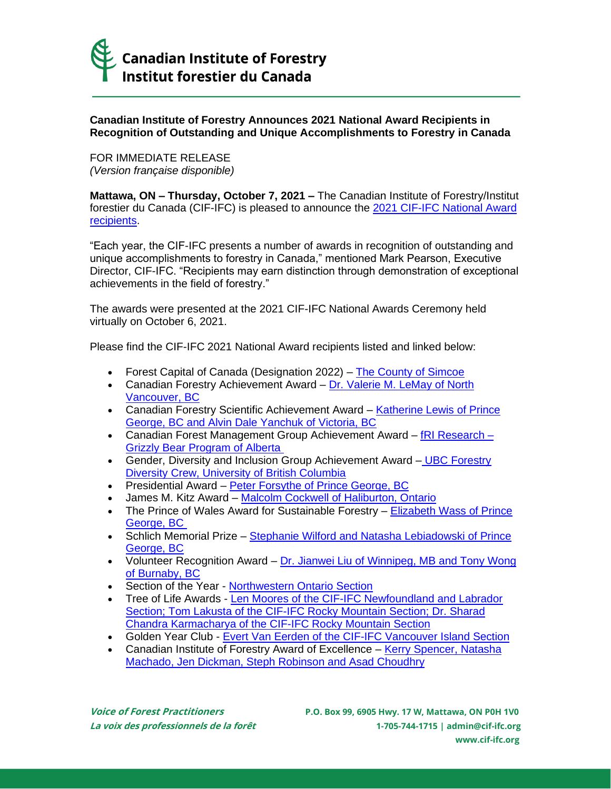

## **Canadian Institute of Forestry Announces 2021 National Award Recipients in Recognition of Outstanding and Unique Accomplishments to Forestry in Canada**

FOR IMMEDIATE RELEASE *(Version française disponible)*

**Mattawa, ON – Thursday, October 7, 2021 –** The Canadian Institute of Forestry/Institut forestier du Canada (CIF-IFC) is pleased to announce the 2021 CIF-IFC National Award [recipients.](http://www.cif-ifc.org/2021-award-recipients/)

"Each year, the CIF-IFC presents a number of awards in recognition of outstanding and unique accomplishments to forestry in Canada," mentioned Mark Pearson, Executive Director, CIF-IFC. "Recipients may earn distinction through demonstration of exceptional achievements in the field of forestry."

The awards were presented at the 2021 CIF-IFC National Awards Ceremony held virtually on October 6, 2021.

Please find the CIF-IFC 2021 National Award recipients listed and linked below:

- Forest Capital of Canada (Designation 2022) [The County of Simcoe](http://www.cif-ifc.org/wp-content/uploads/2021/10/CIF-IFC-Media-Release_2022-Forest-Capital-of-Canada-Designation.pdf)
- Canadian Forestry Achievement Award [Dr. Valerie M. LeMay of North](http://www.cif-ifc.org/wp-content/uploads/2021/10/CIF-IFC-Media-Release_2021-Canadian-Forestry-Achievement-Award.pdf)  [Vancouver, BC](http://www.cif-ifc.org/wp-content/uploads/2021/10/CIF-IFC-Media-Release_2021-Canadian-Forestry-Achievement-Award.pdf)
- Canadian Forestry Scientific Achievement Award Katherine Lewis of Prince [George, BC and Alvin Dale Yanchuk of Victoria, BC](http://www.cif-ifc.org/wp-content/uploads/2021/10/CIF-IFC-Media-Release_2021-Canadian-Forestry-Scientific-Achievement-Award.pdf)
- Canadian Forest Management Group Achievement Award  $fR$  Research [Grizzly Bear Program of Alberta](http://www.cif-ifc.org/wp-content/uploads/2021/10/CIF-IFC-Media-Release_2021-Canadian-Forest-Management-Group-Achievement-Award.pdf)
- Gender, Diversity and Inclusion Group Achievement Award UBC Forestry [Diversity Crew, University of British Columbia](http://www.cif-ifc.org/wp-content/uploads/2021/10/CIF-IFC-Media-Release_2021-Gender-Diversity-and-Inclusion-Group-Achievement-Award.pdf)
- Presidential Award [Peter Forsythe of Prince George, BC](http://www.cif-ifc.org/wp-content/uploads/2021/10/CIF-IFC-Media-Release_2021-Presidential-Award.pdf)
- James M. Kitz Award [Malcolm Cockwell of Haliburton, Ontario](http://www.cif-ifc.org/wp-content/uploads/2021/10/CIF-IFC-Media-Release_2021-James-M.-Kitz-Award.pdf)
- The Prince of Wales Award for Sustainable Forestry **Elizabeth Wass of Prince** [George, BC](http://www.cif-ifc.org/wp-content/uploads/2021/10/CIF-IFC-Media-Release_2021-The-Prince-of-Wales-Award-for-Sustainable-Forestry.pdf)
- Schlich Memorial Prize Stephanie Wilford and Natasha Lebiadowski of Prince [George, BC](http://www.cif-ifc.org/wp-content/uploads/2021/10/CIF-IFC-Media-Release_2021-Schlich-Memorial-Prize.pdf)
- Volunteer Recognition Award [Dr. Jianwei Liu of Winnipeg, MB and Tony Wong](http://www.cif-ifc.org/wp-content/uploads/2021/10/CIF-IFC-Media-Release_2021-Volunteer-Award.pdf)  [of Burnaby, BC](http://www.cif-ifc.org/wp-content/uploads/2021/10/CIF-IFC-Media-Release_2021-Volunteer-Award.pdf)
- Section of the Year [Northwestern Ontario Section](http://www.cif-ifc.org/wp-content/uploads/2021/10/CIF-IFC-Media-Release_2021-Section-of-the-Year-Award.pdf)
- Tree of Life Awards [Len Moores of the CIF-IFC Newfoundland and Labrador](http://www.cif-ifc.org/tree-of-life-award/)  [Section; Tom Lakusta of the CIF-IFC Rocky Mountain Section; Dr. Sharad](http://www.cif-ifc.org/tree-of-life-award/)  [Chandra Karmacharya of the CIF-IFC Rocky Mountain Section](http://www.cif-ifc.org/tree-of-life-award/)
- Golden Year Club [Evert Van Eerden of the CIF-IFC Vancouver Island Section](http://www.cif-ifc.org/2021-award-recipients/)
- Canadian Institute of Forestry Award of Excellence Kerry Spencer, Natasha [Machado, Jen Dickman, Steph Robinson and Asad Choudhry](http://www.cif-ifc.org/canadian-institute-of-forestry-award-of-excellence/)